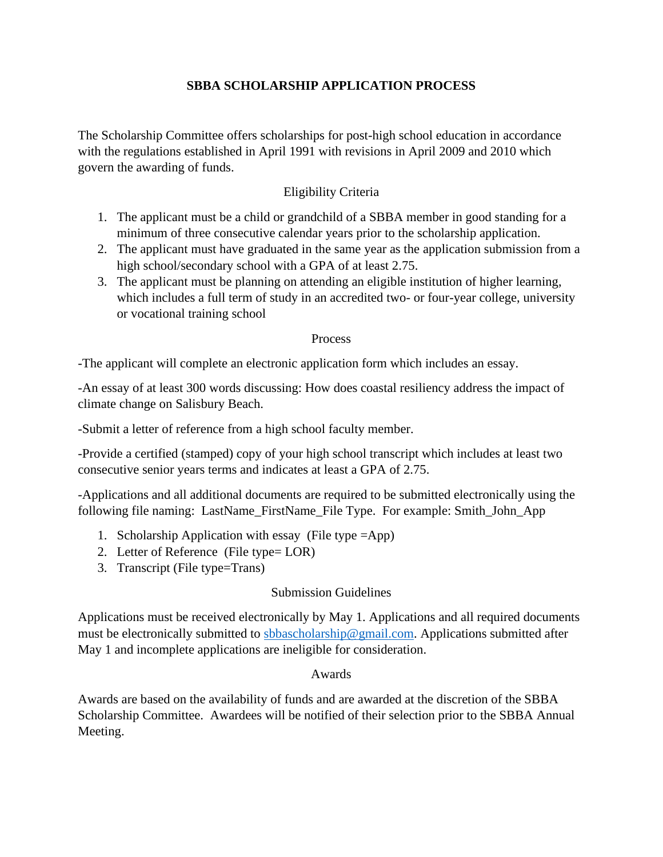## **SBBA SCHOLARSHIP APPLICATION PROCESS**

The Scholarship Committee offers scholarships for post-high school education in accordance with the regulations established in April 1991 with revisions in April 2009 and 2010 which govern the awarding of funds.

## Eligibility Criteria

- 1. The applicant must be a child or grandchild of a SBBA member in good standing for a minimum of three consecutive calendar years prior to the scholarship application.
- 2. The applicant must have graduated in the same year as the application submission from a high school/secondary school with a GPA of at least 2.75.
- 3. The applicant must be planning on attending an eligible institution of higher learning, which includes a full term of study in an accredited two- or four-year college, university or vocational training school

#### Process

-The applicant will complete an electronic application form which includes an essay.

-An essay of at least 300 words discussing: How does coastal resiliency address the impact of climate change on Salisbury Beach.

-Submit a letter of reference from a high school faculty member.

-Provide a certified (stamped) copy of your high school transcript which includes at least two consecutive senior years terms and indicates at least a GPA of 2.75.

-Applications and all additional documents are required to be submitted electronically using the following file naming: LastName\_FirstName\_File Type. For example: Smith\_John\_App

- 1. Scholarship Application with essay (File type =App)
- 2. Letter of Reference (File type= LOR)
- 3. Transcript (File type=Trans)

### Submission Guidelines

Applications must be received electronically by May 1. Applications and all required documents must be electronically submitted to [sbbascholarship@gmail.com.](mailto:sbbascholarship@gmail.com) Applications submitted after May 1 and incomplete applications are ineligible for consideration.

#### Awards

Awards are based on the availability of funds and are awarded at the discretion of the SBBA Scholarship Committee. Awardees will be notified of their selection prior to the SBBA Annual Meeting.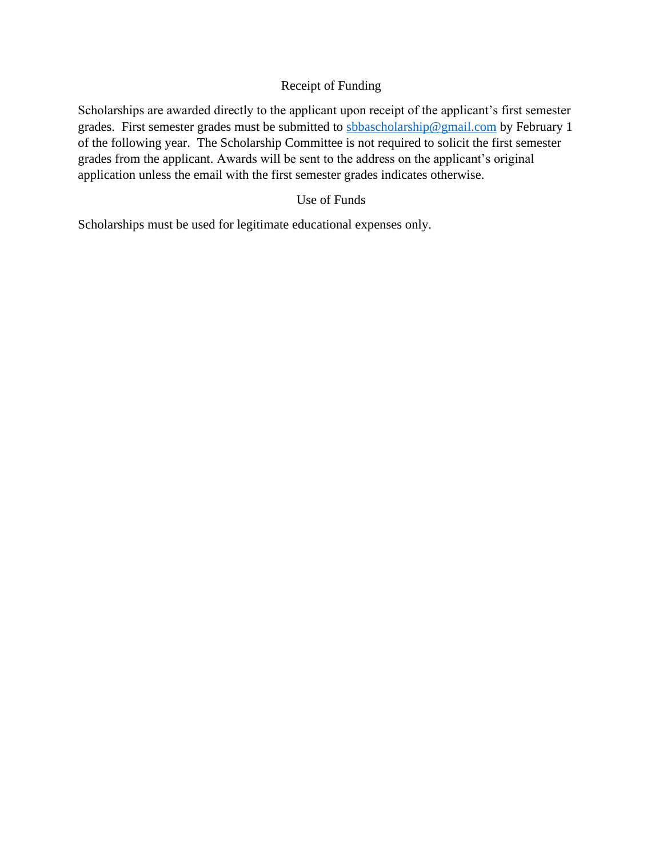## Receipt of Funding

Scholarships are awarded directly to the applicant upon receipt of the applicant's first semester grades. First semester grades must be submitted to [sbbascholarship@gmail.com](mailto:sbbascholarship@gmail.com) by February 1 of the following year. The Scholarship Committee is not required to solicit the first semester grades from the applicant. Awards will be sent to the address on the applicant's original application unless the email with the first semester grades indicates otherwise.

## Use of Funds

Scholarships must be used for legitimate educational expenses only.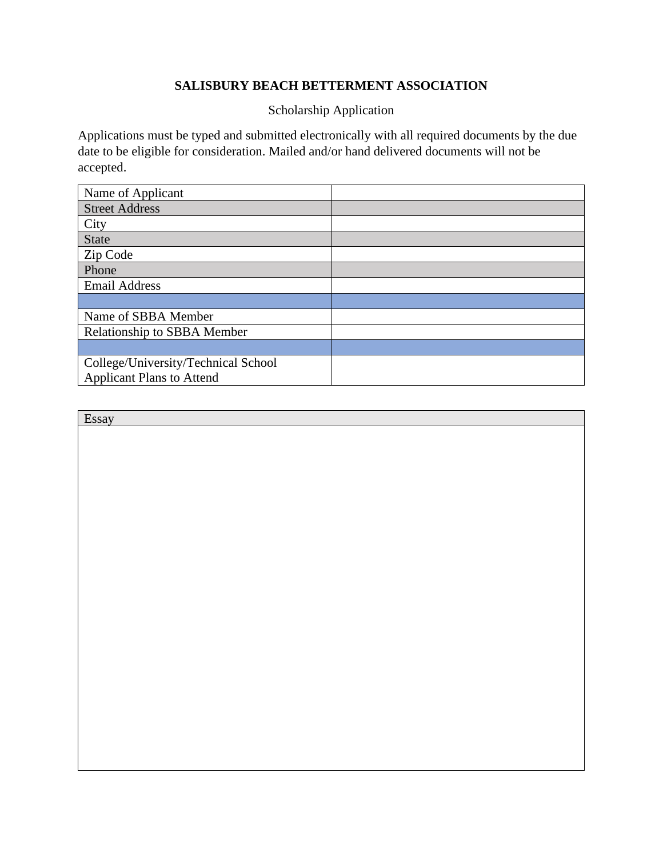# **SALISBURY BEACH BETTERMENT ASSOCIATION**

Scholarship Application

Applications must be typed and submitted electronically with all required documents by the due date to be eligible for consideration. Mailed and/or hand delivered documents will not be accepted.

| Name of Applicant                   |  |
|-------------------------------------|--|
| <b>Street Address</b>               |  |
| City                                |  |
| <b>State</b>                        |  |
| Zip Code                            |  |
| Phone                               |  |
| <b>Email Address</b>                |  |
|                                     |  |
| Name of SBBA Member                 |  |
| <b>Relationship to SBBA Member</b>  |  |
|                                     |  |
| College/University/Technical School |  |
| <b>Applicant Plans to Attend</b>    |  |

| Essay |  |
|-------|--|
|       |  |
|       |  |
|       |  |
|       |  |
|       |  |
|       |  |
|       |  |
|       |  |
|       |  |
|       |  |
|       |  |
|       |  |
|       |  |
|       |  |
|       |  |
|       |  |
|       |  |